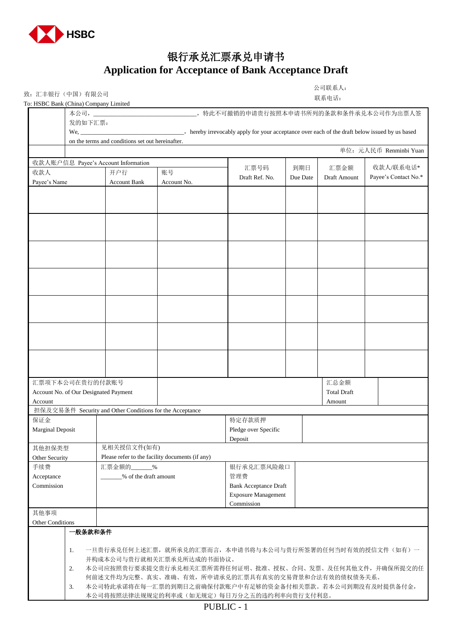

## 银行承兑汇票承兑申请书 **Application for Acceptance of Bank Acceptance Draft**

致: 汇丰银行(中国)有限公司<br>To: HSBC Bank (China) Company Limited

公司联系人: 联系电话:

| To: HSBC Bank (China) Company Limited |                                       |                                                          |                                                 |                                                          |                                     | 状 尔 电 14:    |                        |  |
|---------------------------------------|---------------------------------------|----------------------------------------------------------|-------------------------------------------------|----------------------------------------------------------|-------------------------------------|--------------|------------------------|--|
|                                       |                                       |                                                          |                                                 | __,特此不可撤销的申请贵行按照本申请书所列的条款和条件承兑本公司作为出票人签                  |                                     |              |                        |  |
|                                       | 发的如下汇票:                               |                                                          |                                                 |                                                          |                                     |              |                        |  |
|                                       |                                       |                                                          |                                                 |                                                          |                                     |              |                        |  |
|                                       |                                       | on the terms and conditions set out hereinafter.         |                                                 |                                                          |                                     |              |                        |  |
|                                       |                                       |                                                          |                                                 |                                                          |                                     |              | 单位: 元人民币 Renminbi Yuan |  |
|                                       |                                       | 收款人账户信息 Payee's Account Information                      |                                                 |                                                          |                                     |              |                        |  |
| 收款人                                   | 开户行                                   |                                                          | 账号                                              | 汇票号码                                                     | 到期日                                 | 汇票金额         | 收款人/联系电话*              |  |
| Payee's Name                          |                                       | <b>Account Bank</b>                                      | Account No.                                     | Draft Ref. No.                                           | Due Date                            | Draft Amount | Payee's Contact No.*   |  |
|                                       |                                       |                                                          |                                                 |                                                          |                                     |              |                        |  |
|                                       |                                       |                                                          |                                                 |                                                          |                                     |              |                        |  |
|                                       |                                       |                                                          |                                                 |                                                          |                                     |              |                        |  |
|                                       |                                       |                                                          |                                                 |                                                          |                                     |              |                        |  |
|                                       |                                       |                                                          |                                                 |                                                          |                                     |              |                        |  |
|                                       |                                       |                                                          |                                                 |                                                          |                                     |              |                        |  |
|                                       |                                       |                                                          |                                                 |                                                          |                                     |              |                        |  |
|                                       |                                       |                                                          |                                                 |                                                          |                                     |              |                        |  |
|                                       |                                       |                                                          |                                                 |                                                          |                                     |              |                        |  |
|                                       |                                       |                                                          |                                                 |                                                          |                                     |              |                        |  |
|                                       |                                       |                                                          |                                                 |                                                          |                                     |              |                        |  |
|                                       |                                       |                                                          |                                                 |                                                          |                                     |              |                        |  |
|                                       |                                       |                                                          |                                                 |                                                          |                                     |              |                        |  |
|                                       |                                       |                                                          |                                                 |                                                          |                                     |              |                        |  |
|                                       |                                       |                                                          |                                                 |                                                          |                                     |              |                        |  |
|                                       |                                       |                                                          |                                                 |                                                          |                                     |              |                        |  |
|                                       |                                       |                                                          |                                                 |                                                          |                                     |              |                        |  |
|                                       |                                       |                                                          |                                                 |                                                          |                                     |              |                        |  |
|                                       |                                       |                                                          |                                                 |                                                          |                                     |              |                        |  |
|                                       |                                       |                                                          |                                                 |                                                          |                                     |              |                        |  |
|                                       | 汇票项下本公司在贵行的付款账号                       |                                                          |                                                 |                                                          |                                     | 汇总金额         |                        |  |
|                                       | Account No. of Our Designated Payment |                                                          | <b>Total Draft</b>                              |                                                          |                                     |              |                        |  |
| Account                               |                                       |                                                          |                                                 |                                                          |                                     | Amount       |                        |  |
|                                       |                                       | 担保及交易条件 Security and Other Conditions for the Acceptance |                                                 |                                                          |                                     |              |                        |  |
| 保证金                                   |                                       |                                                          |                                                 | 特定存款质押                                                   |                                     |              |                        |  |
|                                       | <b>Marginal Deposit</b>               |                                                          |                                                 | Pledge over Specific                                     |                                     |              |                        |  |
|                                       | 见相关授信文件(如有)                           |                                                          |                                                 | Deposit                                                  |                                     |              |                        |  |
|                                       | 其他担保类型                                |                                                          | Please refer to the facility documents (if any) |                                                          |                                     |              |                        |  |
| 手续费                                   | Other Security<br>汇票金额的<br>$\%$       |                                                          |                                                 | 银行承兑汇票风险敞口                                               |                                     |              |                        |  |
| Acceptance                            |                                       |                                                          | % of the draft amount                           |                                                          |                                     |              |                        |  |
| Commission                            |                                       |                                                          |                                                 |                                                          | 管理费<br><b>Bank Acceptance Draft</b> |              |                        |  |
|                                       |                                       |                                                          |                                                 |                                                          | <b>Exposure Management</b>          |              |                        |  |
|                                       |                                       |                                                          |                                                 |                                                          | Commission                          |              |                        |  |
| 其他事项                                  |                                       |                                                          |                                                 |                                                          |                                     |              |                        |  |
| <b>Other Conditions</b>               |                                       |                                                          |                                                 |                                                          |                                     |              |                        |  |
|                                       | 一般条款和条件                               |                                                          |                                                 |                                                          |                                     |              |                        |  |
|                                       |                                       |                                                          |                                                 |                                                          |                                     |              |                        |  |
|                                       | 1.                                    |                                                          |                                                 | 一旦贵行承兑任何上述汇票,就所承兑的汇票而言,本申请书将与本公司与贵行所签署的任何当时有效的授信文件(如有)一  |                                     |              |                        |  |
|                                       |                                       | 并构成本公司与贵行就相关汇票承兑所达成的书面协议。                                |                                                 |                                                          |                                     |              |                        |  |
|                                       | 2.                                    |                                                          |                                                 | 本公司应按照贵行要求提交贵行承兑相关汇票所需得任何证明、批准、授权、合同、发票、及任何其他文件,并确保所提交的任 |                                     |              |                        |  |
|                                       |                                       |                                                          |                                                 | 何前述文件均为完整、真实、准确、有效,所申请承兑的汇票具有真实的交易背景和合法有效的债权债务关系。        |                                     |              |                        |  |
|                                       | 3.                                    |                                                          |                                                 | 本公司特此承诺将在每一汇票的到期日之前确保付款账户中有足够的资金备付相关票款。若本公司到期没有及时提供备付金,  |                                     |              |                        |  |
|                                       |                                       |                                                          |                                                 | 本公司将按照法律法规规定的利率或(如无规定)每日万分之五的违约利率向贵行支付利息。                |                                     |              |                        |  |